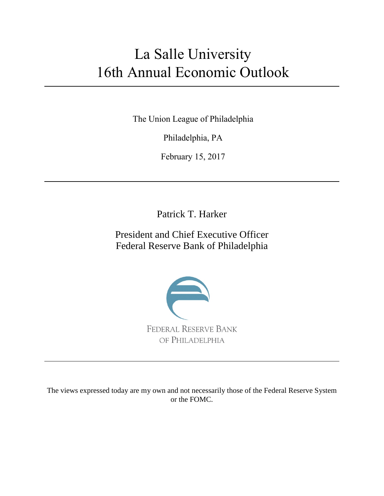# La Salle University 16th Annual Economic Outlook

The Union League of Philadelphia

Philadelphia, PA

February 15, 2017

Patrick T. Harker

President and Chief Executive Officer Federal Reserve Bank of Philadelphia



The views expressed today are my own and not necessarily those of the Federal Reserve System or the FOMC.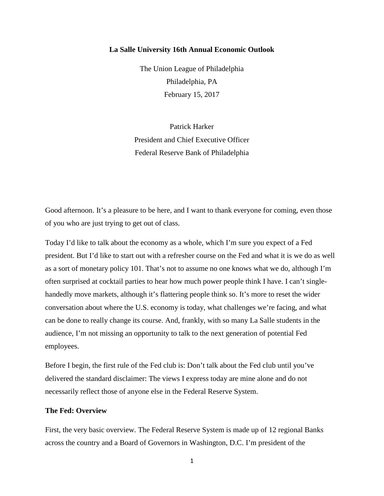## **La Salle University 16th Annual Economic Outlook**

The Union League of Philadelphia Philadelphia, PA February 15, 2017

Patrick Harker President and Chief Executive Officer Federal Reserve Bank of Philadelphia

Good afternoon. It's a pleasure to be here, and I want to thank everyone for coming, even those of you who are just trying to get out of class.

Today I'd like to talk about the economy as a whole, which I'm sure you expect of a Fed president. But I'd like to start out with a refresher course on the Fed and what it is we do as well as a sort of monetary policy 101. That's not to assume no one knows what we do, although I'm often surprised at cocktail parties to hear how much power people think I have. I can't singlehandedly move markets, although it's flattering people think so. It's more to reset the wider conversation about where the U.S. economy is today, what challenges we're facing, and what can be done to really change its course. And, frankly, with so many La Salle students in the audience, I'm not missing an opportunity to talk to the next generation of potential Fed employees.

Before I begin, the first rule of the Fed club is: Don't talk about the Fed club until you've delivered the standard disclaimer: The views I express today are mine alone and do not necessarily reflect those of anyone else in the Federal Reserve System.

## **The Fed: Overview**

First, the very basic overview. The Federal Reserve System is made up of 12 regional Banks across the country and a Board of Governors in Washington, D.C. I'm president of the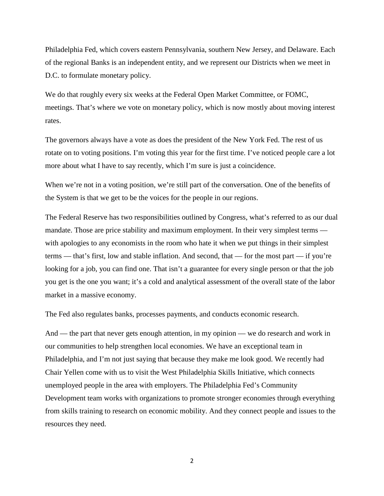Philadelphia Fed, which covers eastern Pennsylvania, southern New Jersey, and Delaware. Each of the regional Banks is an independent entity, and we represent our Districts when we meet in D.C. to formulate monetary policy.

We do that roughly every six weeks at the Federal Open Market Committee, or FOMC, meetings. That's where we vote on monetary policy, which is now mostly about moving interest rates.

The governors always have a vote as does the president of the New York Fed. The rest of us rotate on to voting positions. I'm voting this year for the first time. I've noticed people care a lot more about what I have to say recently, which I'm sure is just a coincidence.

When we're not in a voting position, we're still part of the conversation. One of the benefits of the System is that we get to be the voices for the people in our regions.

The Federal Reserve has two responsibilities outlined by Congress, what's referred to as our dual mandate. Those are price stability and maximum employment. In their very simplest terms with apologies to any economists in the room who hate it when we put things in their simplest terms — that's first, low and stable inflation. And second, that — for the most part — if you're looking for a job, you can find one. That isn't a guarantee for every single person or that the job you get is the one you want; it's a cold and analytical assessment of the overall state of the labor market in a massive economy.

The Fed also regulates banks, processes payments, and conducts economic research.

And — the part that never gets enough attention, in my opinion — we do research and work in our communities to help strengthen local economies. We have an exceptional team in Philadelphia, and I'm not just saying that because they make me look good. We recently had Chair Yellen come with us to visit the West Philadelphia Skills Initiative, which connects unemployed people in the area with employers. The Philadelphia Fed's Community Development team works with organizations to promote stronger economies through everything from skills training to research on economic mobility. And they connect people and issues to the resources they need.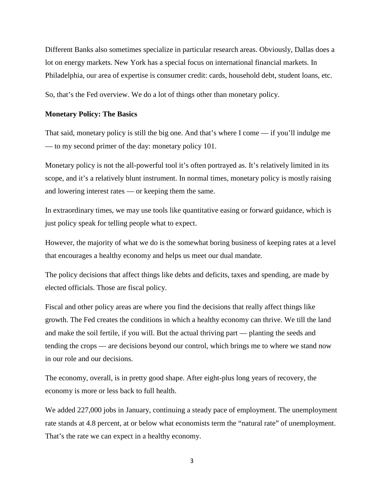Different Banks also sometimes specialize in particular research areas. Obviously, Dallas does a lot on energy markets. New York has a special focus on international financial markets. In Philadelphia, our area of expertise is consumer credit: cards, household debt, student loans, etc.

So, that's the Fed overview. We do a lot of things other than monetary policy.

## **Monetary Policy: The Basics**

That said, monetary policy is still the big one. And that's where I come — if you'll indulge me — to my second primer of the day: monetary policy 101.

Monetary policy is not the all-powerful tool it's often portrayed as. It's relatively limited in its scope, and it's a relatively blunt instrument. In normal times, monetary policy is mostly raising and lowering interest rates — or keeping them the same.

In extraordinary times, we may use tools like quantitative easing or forward guidance, which is just policy speak for telling people what to expect.

However, the majority of what we do is the somewhat boring business of keeping rates at a level that encourages a healthy economy and helps us meet our dual mandate.

The policy decisions that affect things like debts and deficits, taxes and spending, are made by elected officials. Those are fiscal policy.

Fiscal and other policy areas are where you find the decisions that really affect things like growth. The Fed creates the conditions in which a healthy economy can thrive. We till the land and make the soil fertile, if you will. But the actual thriving part — planting the seeds and tending the crops — are decisions beyond our control, which brings me to where we stand now in our role and our decisions.

The economy, overall, is in pretty good shape. After eight-plus long years of recovery, the economy is more or less back to full health.

We added 227,000 jobs in January, continuing a steady pace of employment. The unemployment rate stands at 4.8 percent, at or below what economists term the "natural rate" of unemployment. That's the rate we can expect in a healthy economy.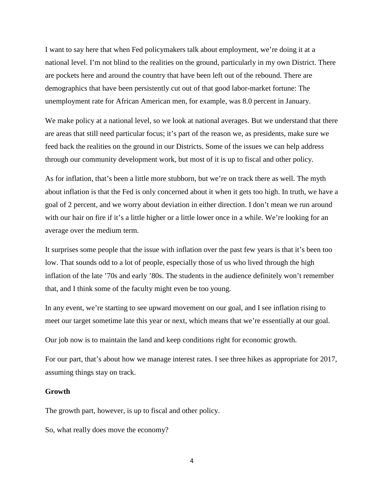I want to say here that when Fed policymakers talk about employment, we're doing it at a national level. I'm not blind to the realities on the ground, particularly in my own District. There are pockets here and around the country that have been left out of the rebound. There are demographics that have been persistently cut out of that good labor-market fortune: The unemployment rate for African American men, for example, was 8.0 percent in January.

We make policy at a national level, so we look at national averages. But we understand that there are areas that still need particular focus; it's part of the reason we, as presidents, make sure we feed back the realities on the ground in our Districts. Some of the issues we can help address through our community development work, but most of it is up to fiscal and other policy.

As for inflation, that's been a little more stubborn, but we're on track there as well. The myth about inflation is that the Fed is only concerned about it when it gets too high. In truth, we have a goal of 2 percent, and we worry about deviation in either direction. I don't mean we run around with our hair on fire if it's a little higher or a little lower once in a while. We're looking for an average over the medium term.

It surprises some people that the issue with inflation over the past few years is that it's been too low. That sounds odd to a lot of people, especially those of us who lived through the high inflation of the late '70s and early '80s. The students in the audience definitely won't remember that, and I think some of the faculty might even be too young.

In any event, we're starting to see upward movement on our goal, and I see inflation rising to meet our target sometime late this year or next, which means that we're essentially at our goal.

Our job now is to maintain the land and keep conditions right for economic growth.

For our part, that's about how we manage interest rates. I see three hikes as appropriate for 2017, assuming things stay on track.

#### **Growth**

The growth part, however, is up to fiscal and other policy.

So, what really does move the economy?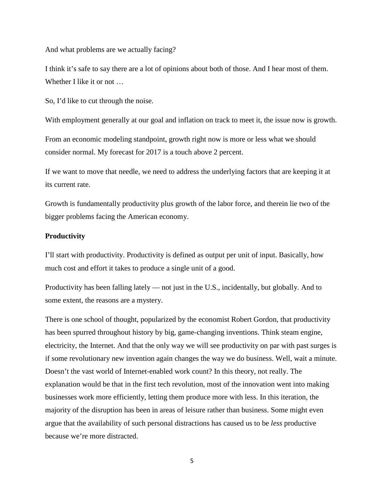And what problems are we actually facing?

I think it's safe to say there are a lot of opinions about both of those. And I hear most of them. Whether I like it or not …

So, I'd like to cut through the noise.

With employment generally at our goal and inflation on track to meet it, the issue now is growth.

From an economic modeling standpoint, growth right now is more or less what we should consider normal. My forecast for 2017 is a touch above 2 percent.

If we want to move that needle, we need to address the underlying factors that are keeping it at its current rate.

Growth is fundamentally productivity plus growth of the labor force, and therein lie two of the bigger problems facing the American economy.

#### **Productivity**

I'll start with productivity. Productivity is defined as output per unit of input. Basically, how much cost and effort it takes to produce a single unit of a good.

Productivity has been falling lately — not just in the U.S., incidentally, but globally. And to some extent, the reasons are a mystery.

There is one school of thought, popularized by the economist Robert Gordon, that productivity has been spurred throughout history by big, game-changing inventions. Think steam engine, electricity, the Internet. And that the only way we will see productivity on par with past surges is if some revolutionary new invention again changes the way we do business. Well, wait a minute. Doesn't the vast world of Internet-enabled work count? In this theory, not really. The explanation would be that in the first tech revolution, most of the innovation went into making businesses work more efficiently, letting them produce more with less. In this iteration, the majority of the disruption has been in areas of leisure rather than business. Some might even argue that the availability of such personal distractions has caused us to be *less* productive because we're more distracted.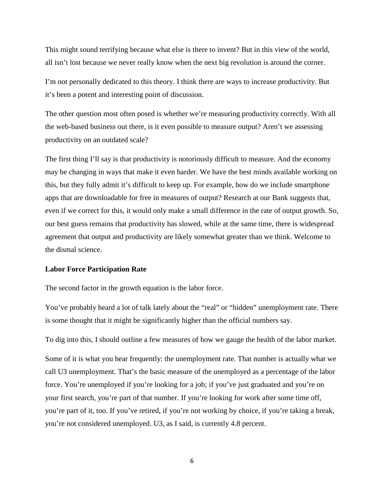This might sound terrifying because what else is there to invent? But in this view of the world, all isn't lost because we never really know when the next big revolution is around the corner.

I'm not personally dedicated to this theory. I think there are ways to increase productivity. But it's been a potent and interesting point of discussion.

The other question most often posed is whether we're measuring productivity correctly. With all the web-based business out there, is it even possible to measure output? Aren't we assessing productivity on an outdated scale?

The first thing I'll say is that productivity is notoriously difficult to measure. And the economy may be changing in ways that make it even harder. We have the best minds available working on this, but they fully admit it's difficult to keep up. For example, how do we include smartphone apps that are downloadable for free in measures of output? Research at our Bank suggests that, even if we correct for this, it would only make a small difference in the rate of output growth. So, our best guess remains that productivity has slowed, while at the same time, there is widespread agreement that output and productivity are likely somewhat greater than we think. Welcome to the dismal science.

## **Labor Force Participation Rate**

The second factor in the growth equation is the labor force.

You've probably heard a lot of talk lately about the "real" or "hidden" unemployment rate. There is some thought that it might be significantly higher than the official numbers say.

To dig into this, I should outline a few measures of how we gauge the health of the labor market.

Some of it is what you hear frequently: the unemployment rate. That number is actually what we call U3 unemployment. That's the basic measure of the unemployed as a percentage of the labor force. You're unemployed if you're looking for a job; if you've just graduated and you're on your first search, you're part of that number. If you're looking for work after some time off, you're part of it, too. If you've retired, if you're not working by choice, if you're taking a break, you're not considered unemployed. U3, as I said, is currently 4.8 percent.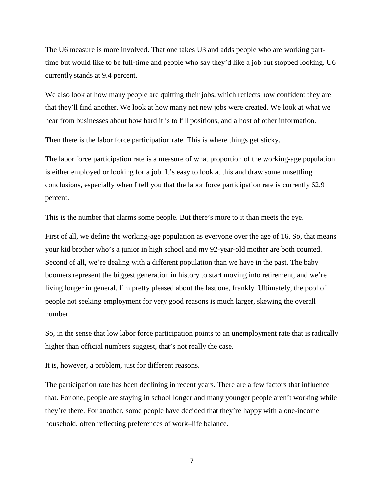The U6 measure is more involved. That one takes U3 and adds people who are working parttime but would like to be full-time and people who say they'd like a job but stopped looking. U6 currently stands at 9.4 percent.

We also look at how many people are quitting their jobs, which reflects how confident they are that they'll find another. We look at how many net new jobs were created. We look at what we hear from businesses about how hard it is to fill positions, and a host of other information.

Then there is the labor force participation rate. This is where things get sticky.

The labor force participation rate is a measure of what proportion of the working-age population is either employed or looking for a job. It's easy to look at this and draw some unsettling conclusions, especially when I tell you that the labor force participation rate is currently 62.9 percent.

This is the number that alarms some people. But there's more to it than meets the eye.

First of all, we define the working-age population as everyone over the age of 16. So, that means your kid brother who's a junior in high school and my 92-year-old mother are both counted. Second of all, we're dealing with a different population than we have in the past. The baby boomers represent the biggest generation in history to start moving into retirement, and we're living longer in general. I'm pretty pleased about the last one, frankly. Ultimately, the pool of people not seeking employment for very good reasons is much larger, skewing the overall number.

So, in the sense that low labor force participation points to an unemployment rate that is radically higher than official numbers suggest, that's not really the case.

It is, however, a problem, just for different reasons.

The participation rate has been declining in recent years. There are a few factors that influence that. For one, people are staying in school longer and many younger people aren't working while they're there. For another, some people have decided that they're happy with a one-income household, often reflecting preferences of work–life balance.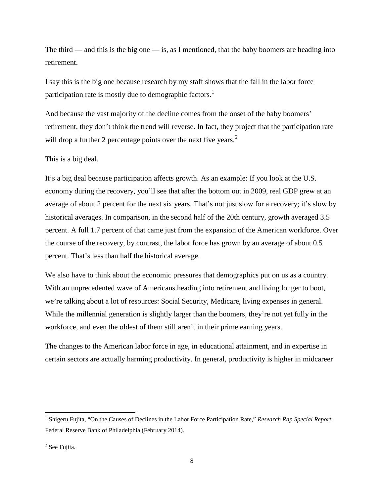The third — and this is the big one — is, as I mentioned, that the baby boomers are heading into retirement.

I say this is the big one because research by my staff shows that the fall in the labor force participation rate is mostly due to demographic factors.<sup>[1](#page-8-0)</sup>

And because the vast majority of the decline comes from the onset of the baby boomers' retirement, they don't think the trend will reverse. In fact, they project that the participation rate will drop a further [2](#page-8-1) percentage points over the next five years.<sup>2</sup>

This is a big deal.

It's a big deal because participation affects growth. As an example: If you look at the U.S. economy during the recovery, you'll see that after the bottom out in 2009, real GDP grew at an average of about 2 percent for the next six years. That's not just slow for a recovery; it's slow by historical averages. In comparison, in the second half of the 20th century, growth averaged 3.5 percent. A full 1.7 percent of that came just from the expansion of the American workforce. Over the course of the recovery, by contrast, the labor force has grown by an average of about 0.5 percent. That's less than half the historical average.

We also have to think about the economic pressures that demographics put on us as a country. With an unprecedented wave of Americans heading into retirement and living longer to boot, we're talking about a lot of resources: Social Security, Medicare, living expenses in general. While the millennial generation is slightly larger than the boomers, they're not yet fully in the workforce, and even the oldest of them still aren't in their prime earning years.

The changes to the American labor force in age, in educational attainment, and in expertise in certain sectors are actually harming productivity. In general, productivity is higher in midcareer

<span id="page-8-0"></span><sup>1</sup> Shigeru Fujita, "On the Causes of Declines in the Labor Force Participation Rate," *Research Rap Special Report*, Federal Reserve Bank of Philadelphia (February 2014).

<span id="page-8-1"></span><sup>&</sup>lt;sup>2</sup> See Fujita.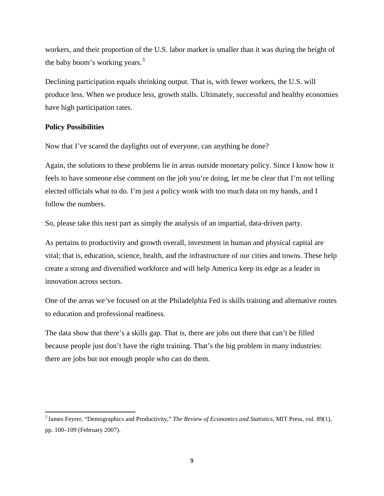workers, and their proportion of the U.S. labor market is smaller than it was during the height of the baby boom's working years.<sup>[3](#page-9-0)</sup>

Declining participation equals shrinking output. That is, with fewer workers, the U.S. will produce less. When we produce less, growth stalls. Ultimately, successful and healthy economies have high participation rates.

## **Policy Possibilities**

Now that I've scared the daylights out of everyone, can anything be done?

Again, the solutions to these problems lie in areas outside monetary policy. Since I know how it feels to have someone else comment on the job you're doing, let me be clear that I'm not telling elected officials what to do. I'm just a policy wonk with too much data on my hands, and I follow the numbers.

So, please take this next part as simply the analysis of an impartial, data-driven party.

As pertains to productivity and growth overall, investment in human and physical capital are vital; that is, education, science, health, and the infrastructure of our cities and towns. These help create a strong and diversified workforce and will help America keep its edge as a leader in innovation across sectors.

One of the areas we've focused on at the Philadelphia Fed is skills training and alternative routes to education and professional readiness.

The data show that there's a skills gap. That is, there are jobs out there that can't be filled because people just don't have the right training. That's the big problem in many industries: there are jobs but not enough people who can do them.

<span id="page-9-0"></span>3 James Feyrer, "Demographics and Productivity," *The Review of Economics and Statistics*, MIT Press, vol. 89(1), pp. 100–109 (February 2007).